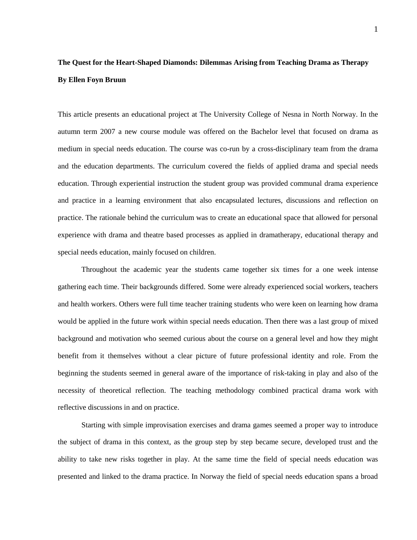## **The Quest for the Heart-Shaped Diamonds: Dilemmas Arising from Teaching Drama as Therapy By Ellen Foyn Bruun**

This article presents an educational project at The University College of Nesna in North Norway. In the autumn term 2007 a new course module was offered on the Bachelor level that focused on drama as medium in special needs education. The course was co-run by a cross-disciplinary team from the drama and the education departments. The curriculum covered the fields of applied drama and special needs education. Through experiential instruction the student group was provided communal drama experience and practice in a learning environment that also encapsulated lectures, discussions and reflection on practice. The rationale behind the curriculum was to create an educational space that allowed for personal experience with drama and theatre based processes as applied in dramatherapy, educational therapy and special needs education, mainly focused on children.

Throughout the academic year the students came together six times for a one week intense gathering each time. Their backgrounds differed. Some were already experienced social workers, teachers and health workers. Others were full time teacher training students who were keen on learning how drama would be applied in the future work within special needs education. Then there was a last group of mixed background and motivation who seemed curious about the course on a general level and how they might benefit from it themselves without a clear picture of future professional identity and role. From the beginning the students seemed in general aware of the importance of risk-taking in play and also of the necessity of theoretical reflection. The teaching methodology combined practical drama work with reflective discussions in and on practice.

Starting with simple improvisation exercises and drama games seemed a proper way to introduce the subject of drama in this context, as the group step by step became secure, developed trust and the ability to take new risks together in play. At the same time the field of special needs education was presented and linked to the drama practice. In Norway the field of special needs education spans a broad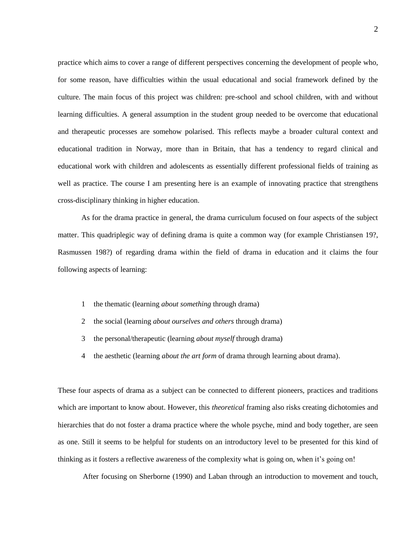practice which aims to cover a range of different perspectives concerning the development of people who, for some reason, have difficulties within the usual educational and social framework defined by the culture. The main focus of this project was children: pre-school and school children, with and without learning difficulties. A general assumption in the student group needed to be overcome that educational and therapeutic processes are somehow polarised. This reflects maybe a broader cultural context and educational tradition in Norway, more than in Britain, that has a tendency to regard clinical and educational work with children and adolescents as essentially different professional fields of training as well as practice. The course I am presenting here is an example of innovating practice that strengthens cross-disciplinary thinking in higher education.

As for the drama practice in general, the drama curriculum focused on four aspects of the subject matter. This quadriplegic way of defining drama is quite a common way (for example Christiansen 19?, Rasmussen 198?) of regarding drama within the field of drama in education and it claims the four following aspects of learning:

- 1 the thematic (learning *about something* through drama)
- 2 the social (learning *about ourselves and others* through drama)
- 3 the personal/therapeutic (learning *about myself* through drama)
- 4 the aesthetic (learning *about the art form* of drama through learning about drama).

These four aspects of drama as a subject can be connected to different pioneers, practices and traditions which are important to know about. However, this *theoretical* framing also risks creating dichotomies and hierarchies that do not foster a drama practice where the whole psyche, mind and body together, are seen as one. Still it seems to be helpful for students on an introductory level to be presented for this kind of thinking as it fosters a reflective awareness of the complexity what is going on, when it's going on!

After focusing on Sherborne (1990) and Laban through an introduction to movement and touch,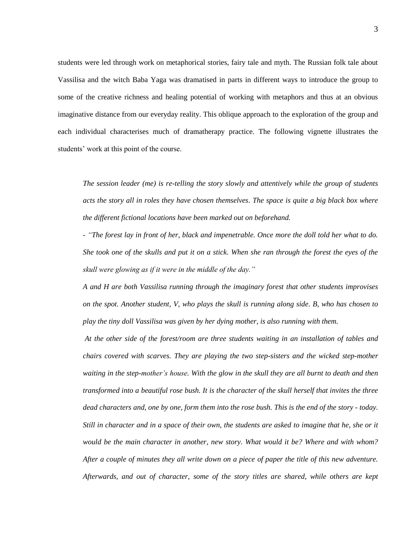students were led through work on metaphorical stories, fairy tale and myth. The Russian folk tale about Vassilisa and the witch Baba Yaga was dramatised in parts in different ways to introduce the group to some of the creative richness and healing potential of working with metaphors and thus at an obvious imaginative distance from our everyday reality. This oblique approach to the exploration of the group and each individual characterises much of dramatherapy practice. The following vignette illustrates the students' work at this point of the course.

*The session leader (me) is re-telling the story slowly and attentively while the group of students acts the story all in roles they have chosen themselves. The space is quite a big black box where the different fictional locations have been marked out on beforehand.* 

*- "The forest lay in front of her, black and impenetrable. Once more the doll told her what to do. She took one of the skulls and put it on a stick. When she ran through the forest the eyes of the skull were glowing as if it were in the middle of the day."* 

*A and H are both Vassilisa running through the imaginary forest that other students improvises on the spot. Another student, V, who plays the skull is running along side. B, who has chosen to play the tiny doll Vassilisa was given by her dying mother, is also running with them.*

*At the other side of the forest/room are three students waiting in an installation of tables and chairs covered with scarves. They are playing the two step-sisters and the wicked step-mother waiting in the step-mother's house. With the glow in the skull they are all burnt to death and then transformed into a beautiful rose bush. It is the character of the skull herself that invites the three dead characters and, one by one, form them into the rose bush. This is the end of the story - today. Still in character and in a space of their own, the students are asked to imagine that he, she or it would be the main character in another, new story. What would it be? Where and with whom? After a couple of minutes they all write down on a piece of paper the title of this new adventure. Afterwards, and out of character, some of the story titles are shared, while others are kept*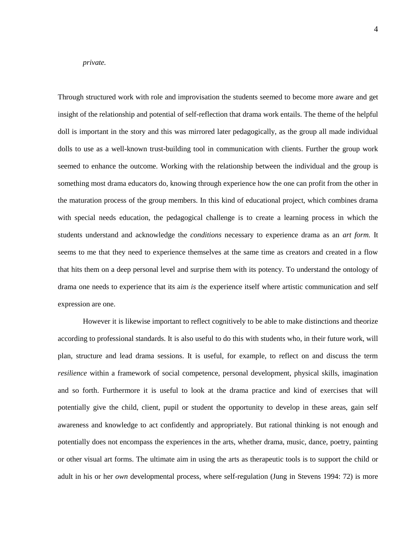## *private.*

Through structured work with role and improvisation the students seemed to become more aware and get insight of the relationship and potential of self-reflection that drama work entails. The theme of the helpful doll is important in the story and this was mirrored later pedagogically, as the group all made individual dolls to use as a well-known trust-building tool in communication with clients. Further the group work seemed to enhance the outcome. Working with the relationship between the individual and the group is something most drama educators do, knowing through experience how the one can profit from the other in the maturation process of the group members. In this kind of educational project, which combines drama with special needs education, the pedagogical challenge is to create a learning process in which the students understand and acknowledge the *conditions* necessary to experience drama as an *art form.* It seems to me that they need to experience themselves at the same time as creators and created in a flow that hits them on a deep personal level and surprise them with its potency. To understand the ontology of drama one needs to experience that its aim *is* the experience itself where artistic communication and self expression are one.

However it is likewise important to reflect cognitively to be able to make distinctions and theorize according to professional standards. It is also useful to do this with students who, in their future work, will plan, structure and lead drama sessions. It is useful, for example, to reflect on and discuss the term *resilience* within a framework of social competence, personal development, physical skills, imagination and so forth. Furthermore it is useful to look at the drama practice and kind of exercises that will potentially give the child, client, pupil or student the opportunity to develop in these areas, gain self awareness and knowledge to act confidently and appropriately. But rational thinking is not enough and potentially does not encompass the experiences in the arts, whether drama, music, dance, poetry, painting or other visual art forms. The ultimate aim in using the arts as therapeutic tools is to support the child or adult in his or her *own* developmental process, where self-regulation (Jung in Stevens 1994: 72) is more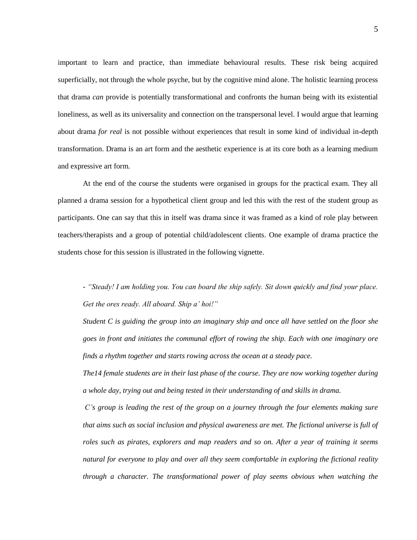important to learn and practice, than immediate behavioural results. These risk being acquired superficially, not through the whole psyche, but by the cognitive mind alone. The holistic learning process that drama *can* provide is potentially transformational and confronts the human being with its existential loneliness, as well as its universality and connection on the transpersonal level. I would argue that learning about drama *for real* is not possible without experiences that result in some kind of individual in-depth transformation. Drama is an art form and the aesthetic experience is at its core both as a learning medium and expressive art form.

At the end of the course the students were organised in groups for the practical exam. They all planned a drama session for a hypothetical client group and led this with the rest of the student group as participants. One can say that this in itself was drama since it was framed as a kind of role play between teachers/therapists and a group of potential child/adolescent clients. One example of drama practice the students chose for this session is illustrated in the following vignette.

*- "Steady! I am holding you. You can board the ship safely. Sit down quickly and find your place. Get the ores ready. All aboard. Ship a' hoi!"* 

*Student C is guiding the group into an imaginary ship and once all have settled on the floor she goes in front and initiates the communal effort of rowing the ship. Each with one imaginary ore finds a rhythm together and starts rowing across the ocean at a steady pace.* 

*The14 female students are in their last phase of the course. They are now working together during a whole day, trying out and being tested in their understanding of and skills in drama.* 

*C's group is leading the rest of the group on a journey through the four elements making sure that aims such as social inclusion and physical awareness are met. The fictional universe is full of roles such as pirates, explorers and map readers and so on. After a year of training it seems natural for everyone to play and over all they seem comfortable in exploring the fictional reality through a character. The transformational power of play seems obvious when watching the*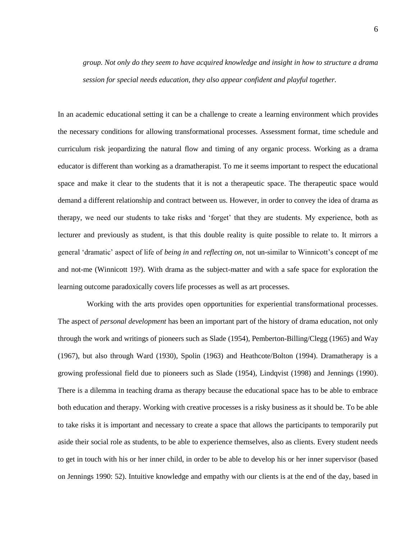*group. Not only do they seem to have acquired knowledge and insight in how to structure a drama session for special needs education, they also appear confident and playful together.* 

In an academic educational setting it can be a challenge to create a learning environment which provides the necessary conditions for allowing transformational processes. Assessment format, time schedule and curriculum risk jeopardizing the natural flow and timing of any organic process. Working as a drama educator is different than working as a dramatherapist. To me it seems important to respect the educational space and make it clear to the students that it is not a therapeutic space. The therapeutic space would demand a different relationship and contract between us. However, in order to convey the idea of drama as therapy, we need our students to take risks and 'forget' that they are students. My experience, both as lecturer and previously as student, is that this double reality is quite possible to relate to. It mirrors a general 'dramatic' aspect of life of *being in* and *reflecting on,* not un-similar to Winnicott's concept of me and not-me (Winnicott 19?). With drama as the subject-matter and with a safe space for exploration the learning outcome paradoxically covers life processes as well as art processes.

Working with the arts provides open opportunities for experiential transformational processes. The aspect of *personal development* has been an important part of the history of drama education, not only through the work and writings of pioneers such as Slade (1954), Pemberton-Billing/Clegg (1965) and Way (1967), but also through Ward (1930), Spolin (1963) and Heathcote/Bolton (1994). Dramatherapy is a growing professional field due to pioneers such as Slade (1954), Lindqvist (1998) and Jennings (1990). There is a dilemma in teaching drama as therapy because the educational space has to be able to embrace both education and therapy. Working with creative processes is a risky business as it should be. To be able to take risks it is important and necessary to create a space that allows the participants to temporarily put aside their social role as students, to be able to experience themselves, also as clients. Every student needs to get in touch with his or her inner child, in order to be able to develop his or her inner supervisor (based on Jennings 1990: 52). Intuitive knowledge and empathy with our clients is at the end of the day, based in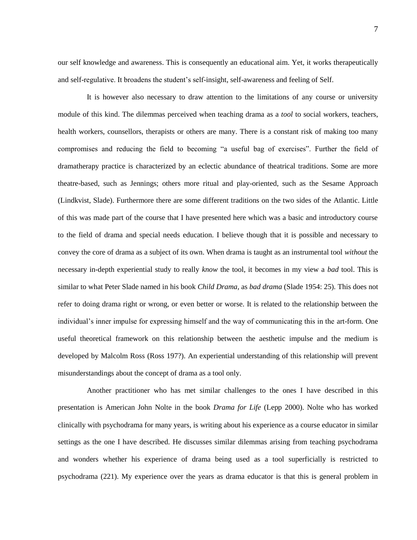our self knowledge and awareness. This is consequently an educational aim. Yet, it works therapeutically and self-regulative. It broadens the student's self-insight, self-awareness and feeling of Self.

It is however also necessary to draw attention to the limitations of any course or university module of this kind. The dilemmas perceived when teaching drama as a *tool* to social workers, teachers, health workers, counsellors, therapists or others are many. There is a constant risk of making too many compromises and reducing the field to becoming "a useful bag of exercises". Further the field of dramatherapy practice is characterized by an eclectic abundance of theatrical traditions. Some are more theatre-based, such as Jennings; others more ritual and play-oriented, such as the Sesame Approach (Lindkvist, Slade). Furthermore there are some different traditions on the two sides of the Atlantic. Little of this was made part of the course that I have presented here which was a basic and introductory course to the field of drama and special needs education. I believe though that it is possible and necessary to convey the core of drama as a subject of its own. When drama is taught as an instrumental tool *without* the necessary in-depth experiential study to really *know* the tool, it becomes in my view a *bad* tool. This is similar to what Peter Slade named in his book *Child Drama,* as *bad drama* (Slade 1954: 25)*.* This does not refer to doing drama right or wrong, or even better or worse. It is related to the relationship between the individual's inner impulse for expressing himself and the way of communicating this in the art-form. One useful theoretical framework on this relationship between the aesthetic impulse and the medium is developed by Malcolm Ross (Ross 197?). An experiential understanding of this relationship will prevent misunderstandings about the concept of drama as a tool only.

Another practitioner who has met similar challenges to the ones I have described in this presentation is American John Nolte in the book *Drama for Life* (Lepp 2000). Nolte who has worked clinically with psychodrama for many years, is writing about his experience as a course educator in similar settings as the one I have described. He discusses similar dilemmas arising from teaching psychodrama and wonders whether his experience of drama being used as a tool superficially is restricted to psychodrama (221). My experience over the years as drama educator is that this is general problem in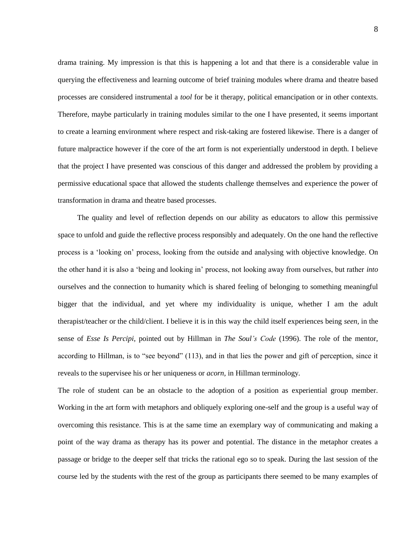drama training. My impression is that this is happening a lot and that there is a considerable value in querying the effectiveness and learning outcome of brief training modules where drama and theatre based processes are considered instrumental a *tool* for be it therapy, political emancipation or in other contexts. Therefore, maybe particularly in training modules similar to the one I have presented, it seems important to create a learning environment where respect and risk-taking are fostered likewise. There is a danger of future malpractice however if the core of the art form is not experientially understood in depth. I believe that the project I have presented was conscious of this danger and addressed the problem by providing a permissive educational space that allowed the students challenge themselves and experience the power of transformation in drama and theatre based processes.

The quality and level of reflection depends on our ability as educators to allow this permissive space to unfold and guide the reflective process responsibly and adequately. On the one hand the reflective process is a 'looking on' process, looking from the outside and analysing with objective knowledge. On the other hand it is also a 'being and looking in' process, not looking away from ourselves, but rather *into* ourselves and the connection to humanity which is shared feeling of belonging to something meaningful bigger that the individual, and yet where my individuality is unique, whether I am the adult therapist/teacher or the child/client. I believe it is in this way the child itself experiences being *seen,* in the sense of *Esse Is Percipi,* pointed out by Hillman in *The Soul's Code* (1996). The role of the mentor, according to Hillman, is to "see beyond" (113), and in that lies the power and gift of perception, since it reveals to the supervisee his or her uniqueness or *acorn,* in Hillman terminology*.*

The role of student can be an obstacle to the adoption of a position as experiential group member. Working in the art form with metaphors and obliquely exploring one-self and the group is a useful way of overcoming this resistance. This is at the same time an exemplary way of communicating and making a point of the way drama as therapy has its power and potential. The distance in the metaphor creates a passage or bridge to the deeper self that tricks the rational ego so to speak. During the last session of the course led by the students with the rest of the group as participants there seemed to be many examples of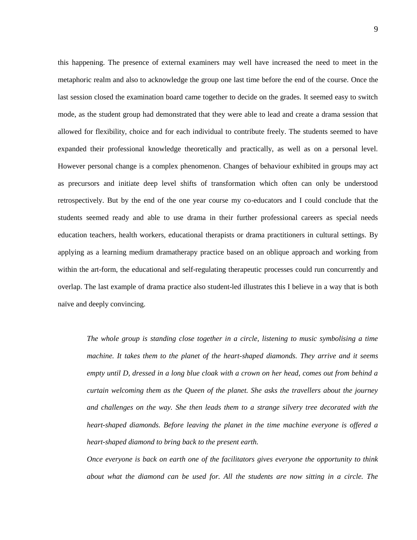this happening. The presence of external examiners may well have increased the need to meet in the metaphoric realm and also to acknowledge the group one last time before the end of the course. Once the last session closed the examination board came together to decide on the grades. It seemed easy to switch mode, as the student group had demonstrated that they were able to lead and create a drama session that allowed for flexibility, choice and for each individual to contribute freely. The students seemed to have expanded their professional knowledge theoretically and practically, as well as on a personal level. However personal change is a complex phenomenon. Changes of behaviour exhibited in groups may act as precursors and initiate deep level shifts of transformation which often can only be understood retrospectively. But by the end of the one year course my co-educators and I could conclude that the students seemed ready and able to use drama in their further professional careers as special needs education teachers, health workers, educational therapists or drama practitioners in cultural settings. By applying as a learning medium dramatherapy practice based on an oblique approach and working from within the art-form, the educational and self-regulating therapeutic processes could run concurrently and overlap. The last example of drama practice also student-led illustrates this I believe in a way that is both naïve and deeply convincing.

*The whole group is standing close together in a circle, listening to music symbolising a time machine. It takes them to the planet of the heart-shaped diamonds. They arrive and it seems empty until D, dressed in a long blue cloak with a crown on her head, comes out from behind a curtain welcoming them as the Queen of the planet. She asks the travellers about the journey and challenges on the way. She then leads them to a strange silvery tree decorated with the heart-shaped diamonds. Before leaving the planet in the time machine everyone is offered a heart-shaped diamond to bring back to the present earth.* 

*Once everyone is back on earth one of the facilitators gives everyone the opportunity to think about what the diamond can be used for. All the students are now sitting in a circle. The*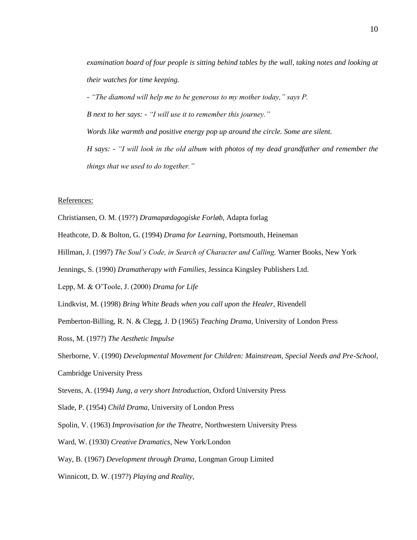*examination board of four people is sitting behind tables by the wall, taking notes and looking at their watches for time keeping.*

*- "The diamond will help me to be generous to my mother today," says P. B next to her says: - "I will use it to remember this journey." Words like warmth and positive energy pop up around the circle. Some are silent. H says: - "I will look in the old album with photos of my dead grandfather and remember the things that we used to do together."*

## References:

- Christiansen, O. M. (19??) *Dramapædagogiske Forløb,* Adapta forlag
- Heathcote, D. & Bolton, G. (1994) *Drama for Learning,* Portsmouth, Heineman
- Hillman, J. (1997) *The Soul's Code, in Search of Character and Calling,* Warner Books, New York
- Jennings, S. (1990) *Dramatherapy with Families,* Jessinca Kingsley Publishers Ltd.
- Lepp, M. & O'Toole, J. (2000) *Drama for Life*
- Lindkvist, M. (1998) *Bring White Beads when you call upon the Healer,* Rivendell
- Pemberton-Billing, R. N. & Clegg, J. D (1965) *Teaching Drama,* University of London Press
- Ross, M. (197?) *The Aesthetic Impulse*

Sherborne, V. (1990) *Developmental Movement for Children: Mainstream, Special Needs and Pre-School,*  Cambridge University Press

Stevens, A. (1994) *Jung, a very short Introduction,* Oxford University Press

- Slade, P. (1954) *Child Drama,* University of London Press
- Spolin, V. (1963) *Improvisation for the Theatre,* Northwestern University Press
- Ward, W. (1930) *Creative Dramatics,* New York/London
- Way, B. (1967) *Development through Drama,* Longman Group Limited
- Winnicott, D. W. (197?) *Playing and Reality,*